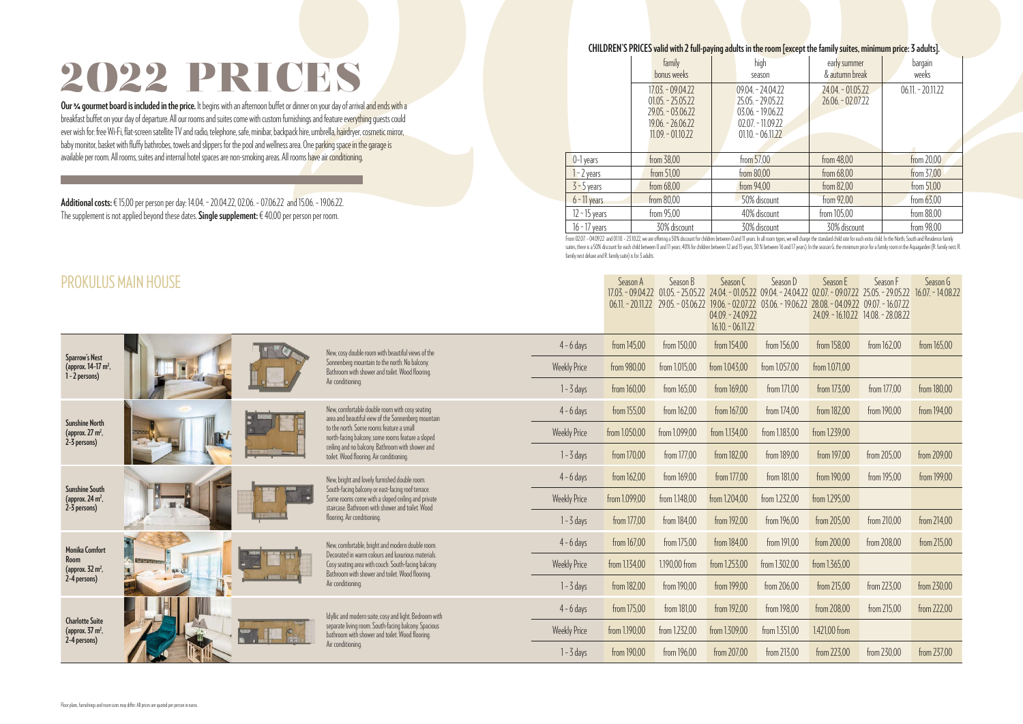|  |  | om [except the family <mark>suites, minimum price</mark> : 3 adults]. |
|--|--|-----------------------------------------------------------------------|
|--|--|-----------------------------------------------------------------------|

|                                                                            | <b>PROKULUS MAIN HOUSE</b> |                                                                                                                                                                                                                                                                                                       |                     | Season A      | Season B      | Season C<br>17.03. - 09.04.22 01.05. - 25.05.22 24.04. - 01.05.22 09.04. - 24.04.22 02.07. - 09.07.22 25.05. - 29.05.22<br>06.11. - 20.11.22 29.05. - 03.06.22 19.06. - 02.07.22 03.06. - 19.06.22<br>$04.09 - 24.09.22$<br>$16.10 - 06.11.22$ | Season D      | Season E<br>28.08 - 04.09.22 09.07 - 16.07.22 | Season F<br>24.09 .- 16.10.22 14.08 .- 28.08.22 | Season G<br>$16.07 - 14.08.22$ |
|----------------------------------------------------------------------------|----------------------------|-------------------------------------------------------------------------------------------------------------------------------------------------------------------------------------------------------------------------------------------------------------------------------------------------------|---------------------|---------------|---------------|------------------------------------------------------------------------------------------------------------------------------------------------------------------------------------------------------------------------------------------------|---------------|-----------------------------------------------|-------------------------------------------------|--------------------------------|
|                                                                            |                            | New, cosy double room with beautiful views of the<br>Sonnenberg mountain to the north. No balcony.<br>Bathroom with shower and toilet. Wood flooring.                                                                                                                                                 | $4 - 6$ days        | from 145,00   | from 150,00   | from 154,00                                                                                                                                                                                                                                    | from 156,00   | from 158,00                                   | from 162,00                                     | from 165,00                    |
| <b>Sparrow's Nest</b><br>(approx. 14-17 m <sup>2</sup> ,<br>1 - 2 persons) |                            |                                                                                                                                                                                                                                                                                                       | <b>Weekly Price</b> | from 980,00   | from 1.015,00 | from 1.043,00                                                                                                                                                                                                                                  | from 1.057,00 | from 1.071,00                                 |                                                 |                                |
|                                                                            |                            | Air conditioning.                                                                                                                                                                                                                                                                                     | $1 - 3$ days        | from 160,00   | from 165,00   | from 169,00                                                                                                                                                                                                                                    | from 171,00   | from 173,00                                   | from 177,00                                     | from 180,00                    |
|                                                                            |                            | New, comfortable double room with cosy seating<br>area and beautiful view of the Sonnenberg mountain<br>to the north. Some rooms feature a small<br>north-facing balcony, some rooms feature a sloped<br>ceiling and no balcony. Bathroom with shower and<br>toilet. Wood flooring. Air conditioning. | $4 - 6$ days        | from 155,00   | from 162,00   | from 167,00                                                                                                                                                                                                                                    | from 174,00   | from 182,00                                   | from 190,00                                     | from 194,00                    |
| <b>Sunshine North</b><br>(approx. $27 \text{ m}^2$ ,<br>2-3 persons)       |                            |                                                                                                                                                                                                                                                                                                       | <b>Weekly Price</b> | from 1.050,00 | from 1.099,00 | from 1.134,00                                                                                                                                                                                                                                  | from 1.183,00 | from 1.239,00                                 |                                                 |                                |
|                                                                            |                            |                                                                                                                                                                                                                                                                                                       | $1 - 3$ days        | from 170,00   | from 177,00   | from 182,00                                                                                                                                                                                                                                    | from 189,00   | from 197,00                                   | from 205,00                                     | from 209,00                    |
| <b>Sunshine South</b><br>(approx. 24 m <sup>2</sup> ,<br>2-3 persons)      |                            | New, bright and lovely furnished double room.<br>South-facing balcony or east-facing roof terrace.<br>Some rooms come with a sloped ceiling and private<br>staircase. Bathroom with shower and toilet. Wood<br>flooring. Air conditioning.                                                            | $4 - 6$ days        | from 162,00   | from 169,00   | from 177,00                                                                                                                                                                                                                                    | from 181,00   | from 190,00                                   | from 195,00                                     | from 199,00                    |
|                                                                            |                            |                                                                                                                                                                                                                                                                                                       | <b>Weekly Price</b> | from 1.099,00 | from 1.148,00 | from 1.204,00                                                                                                                                                                                                                                  | from 1.232,00 | from 1.295,00                                 |                                                 |                                |
|                                                                            |                            |                                                                                                                                                                                                                                                                                                       | $1 - 3$ days        | from 177,00   | from 184,00   | from 192,00                                                                                                                                                                                                                                    | from 196,00   | from 205,00                                   | from 210,00                                     | from 214,00                    |
| <b>Monika Comfort</b>                                                      | <b>RT</b>                  | New, comfortable, bright and modern double room.<br>Decorated in warm colours and luxurious materials.<br>Cosy seating area with couch. South-facing balcony.<br>Bathroom with shower and toilet. Wood flooring.<br>Air conditioning.                                                                 | $4 - 6$ days        | from 167,00   | from 175,00   | from 184,00                                                                                                                                                                                                                                    | from 191,00   | from 200,00                                   | from 208,00                                     | from 215,00                    |
| Room<br>(approx. $32 \text{ m}^2$ ,                                        | <b>CYNTHON</b><br>44 12    |                                                                                                                                                                                                                                                                                                       | <b>Weekly Price</b> | from 1.134,00 | 1.190,00 from | from 1.253,00                                                                                                                                                                                                                                  | from 1.302,00 | from 1.365,00                                 |                                                 |                                |
|                                                                            | $-1$<br>2-4 persons)       |                                                                                                                                                                                                                                                                                                       | $1 - 3$ days        | from 182,00   | from 190,00   | from 199,00                                                                                                                                                                                                                                    | from 206,00   | from 215,00                                   | from 223,00                                     | from 230,00                    |
| <b>Charlotte Suite</b><br>(approx. $37 \text{ m}^2$ ,                      |                            | Idyllic and modern suite, cosy and light. Bedroom with<br>separate living room. South-facing balcony. Spacious<br>bathroom with shower and toilet. Wood flooring.                                                                                                                                     | $4 - 6$ days        | from 175,00   | from 181,00   | from 192,00                                                                                                                                                                                                                                    | from 198,00   | from 208,00                                   | from 215,00                                     | from 222,00                    |
|                                                                            |                            |                                                                                                                                                                                                                                                                                                       | <b>Weekly Price</b> | from 1.190,00 | from 1.232,00 | from 1.309,00                                                                                                                                                                                                                                  | from 1.351,00 | 1.421,00 from                                 |                                                 |                                |
| 2-4 persons)                                                               |                            | Air conditioning.                                                                                                                                                                                                                                                                                     | $1 - 3$ days        | from 190,00   | from 196,00   | from 207,00                                                                                                                                                                                                                                    | from 213,00   | from 223,00                                   | from 230,00                                     | from 237,00                    |

From 02.07. - 04.09.22 and 01.10. - 23.10.22, we are offering a 50% discount for children between 0 and 11 years. In all room types, we will charge the standard child rate for each extra child. In the North, South and Resi suites, there is a 50% discount for each child between 0 and 11 years; 40% for children between 12 and 15 years, 30 % between 16 and 17 years). In the season G, the minimum price for a family room in the Aquagarden (R. fam family nest deluxe and R. family suite) is for 3 adults.

### 2O22 PRICES

**Our ¾ gourmet board is included in the price.** It begins with an afternoon buffet or dinner on your day of arrival and ends with a breakfast buffet on your day of departure. All our rooms and suites come with custom furnishings and feature everything quests could ever wish for: free Wi-Fi, flat-screen satellite TV and radio, telephone, safe, minibar, backpack hire, umbrella, hairdryer, cosmetic mirror, baby monitor, basket with fluffy bathrobes, towels and slippers for the pool and wellness area. One parking space in the garage is available per room. All rooms, suites and internal hotel spaces are non-smoking areas. All rooms have air conditioning.

**Additional costs:** € 15,00 per person per day: 14.04. – 20.04.22, 02.06. – 07.06.22 and 15.06. – 19.06.22. The supplement is not applied beyond these dates. **Single supplement:** € 40,00 per person per room.

### **CHILDREN'S PRICES valid with 2 full-paying adults in the room and family suites, minimum prices.**

|                 | family<br>bonus weeks                                                                                      | high<br>season                                                                                             | early summer<br>& autumn break          | bargain<br>weeks   |
|-----------------|------------------------------------------------------------------------------------------------------------|------------------------------------------------------------------------------------------------------------|-----------------------------------------|--------------------|
|                 | $17.03 - 09.04.22$<br>$01.05 - 25.05.22$<br>$29.05 - 03.06.22$<br>$19.06 - 26.06.22$<br>$11.09 - 01.10.22$ | $09.04 - 24.04.22$<br>$25.05 - 29.05.22$<br>$03.06 - 19.06.22$<br>$02.07 - 11.09.22$<br>$01.10 - 06.11.22$ | 24.04. - 01.05.22<br>$26.06 - 02.07.22$ | $06.11 - 20.11.22$ |
| $0-1$ years     | from 38,00                                                                                                 | from 57,00                                                                                                 | from 48,00                              | from 20,00         |
| $1 - 2$ years   | from 51,00                                                                                                 | from 80,00                                                                                                 | from 68,00                              | from 37,00         |
| $3 - 5$ years   | from 68,00                                                                                                 | from 94,00                                                                                                 | from 82,00                              | from 51,00         |
| $6 - 11$ years  | from 80,00                                                                                                 | 50% discount                                                                                               | from 92,00                              | from $63,00$       |
| $12 - 15$ years | from 95,00                                                                                                 | 40% discount                                                                                               | from 105,00                             | from 88,00         |
| $16 - 17$ years | 30% discount                                                                                               | 30% discount                                                                                               | 30% discount                            | from 98,00         |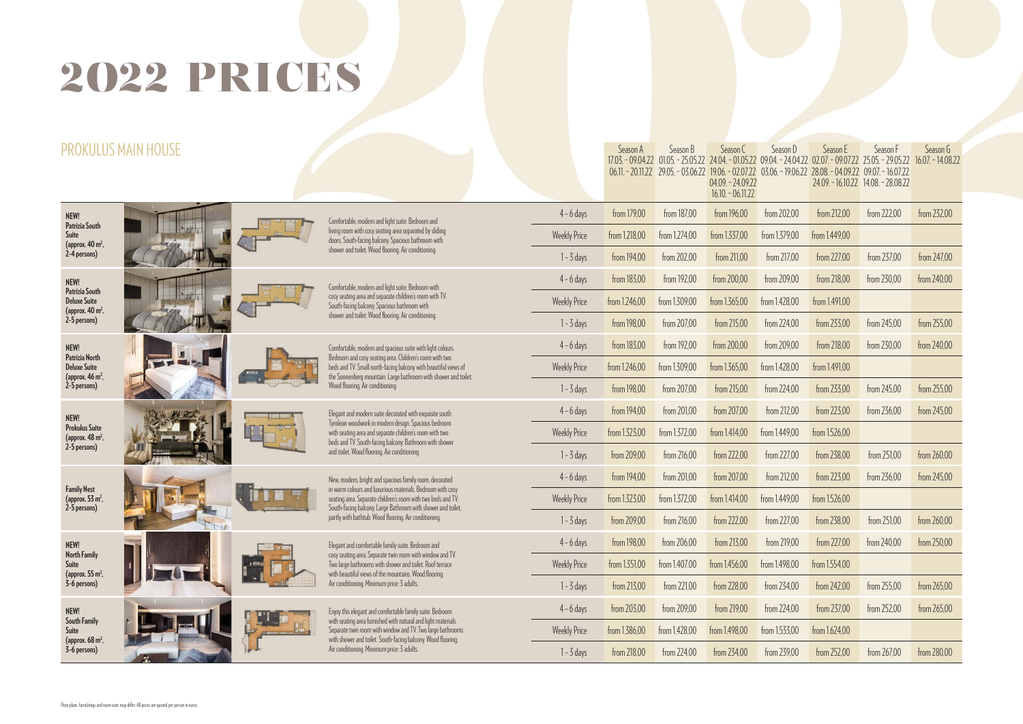| <b>PROKULUS MAIN HO</b>                                                     |                |                                                                                                                                                                       |                                                                                                                                                                                                                                                                                       |                     | Season A      | Season B<br>$17.03 - 09.04.22$ $01.05 - 25.05.22$ | Season C<br>$24.04 - 01.05.22$<br>$04.09 - 24.09.22$<br>$16.10 - 06.11.22$ | Season D<br>$09.04 - 24.04.22$ $02.07 - 09.07.22$ $25.05 - 29.05.22$<br>06.11. - 20.11.22 29.05. - 03.06.22 19.06. - 02.07.22 03.06. - 19.06.22 | Season E<br>28.08 - 04.09.22 09.07 - 16.07.22 | Season F<br>24.09 .- 16.10.22 14.08 .- 28.08.22 | Season G<br>$16.07 - 14.08.22$ |
|-----------------------------------------------------------------------------|----------------|-----------------------------------------------------------------------------------------------------------------------------------------------------------------------|---------------------------------------------------------------------------------------------------------------------------------------------------------------------------------------------------------------------------------------------------------------------------------------|---------------------|---------------|---------------------------------------------------|----------------------------------------------------------------------------|-------------------------------------------------------------------------------------------------------------------------------------------------|-----------------------------------------------|-------------------------------------------------|--------------------------------|
| NEW!<br>Patrizia South                                                      |                |                                                                                                                                                                       | Comfortable, modern and light suite. Bedroom and                                                                                                                                                                                                                                      | $4 - 6$ days        | from 179,00   | from 187,00                                       | from 196,00                                                                | from 202,00                                                                                                                                     | from 212,00                                   | from 222,00                                     | from 232,00                    |
| Suite<br>(approx. 40 m <sup>2</sup> ,                                       |                | living room with cosy seating area separated by sliding<br>doors. South-facing balcony. Spacious bathroom with<br>shower and toilet. Wood flooring. Air conditioning. | <b>Weekly Price</b>                                                                                                                                                                                                                                                                   | from 1.218,00       | from 1.274,00 | from 1.337,00                                     | from 1.379,00                                                              | from 1.449,00                                                                                                                                   |                                               |                                                 |                                |
| 2-4 persons)                                                                |                |                                                                                                                                                                       |                                                                                                                                                                                                                                                                                       | $1 - 3$ days        | from 194,00   | from 202,00                                       | from 211,00                                                                | from 217,00                                                                                                                                     | from 227,00                                   | from 237,00                                     | from 247,00                    |
| NEW!<br><b>Patrizia South</b>                                               |                |                                                                                                                                                                       | Comfortable, modern and light suite. Bedroom with                                                                                                                                                                                                                                     | $4 - 6$ days        | from 183,00   | from 192,00                                       | from 200,00                                                                | from 209,00                                                                                                                                     | from 218,00                                   | from 230,00                                     | from 240,00                    |
| <b>Deluxe Suite</b><br>(approx. 40 m <sup>2</sup> ,                         |                |                                                                                                                                                                       | cosy seating area and separate children's room with TV.<br>South-facing balcony. Spacious bathroom with                                                                                                                                                                               | <b>Weekly Price</b> | from 1.246,00 | from 1.309,00                                     | from 1.365,00                                                              | from 1.428,00                                                                                                                                   | from 1.491,00                                 |                                                 |                                |
| 2-5 persons)                                                                |                |                                                                                                                                                                       | shower and toilet. Wood flooring. Air conditioning.                                                                                                                                                                                                                                   | $1 - 3$ days        | from 198,00   | from 207,00                                       | from 215,00                                                                | from 224,00                                                                                                                                     | from 233,00                                   | from 245,00                                     | from 255,00                    |
| NEW!                                                                        |                |                                                                                                                                                                       | Comfortable, modern and spacious suite with light colours.<br>Bedroom and cosy seating area. Children's room with two<br>beds and TV. Small north-facing balcony with beautiful views of<br>the Sonnenberg mountain. Large bathroom with shower and toilet.                           | $4 - 6$ days        | from 183,00   | from 192,00                                       | from 200,00                                                                | from 209,00                                                                                                                                     | from 218,00                                   | from 230,00                                     | from 240,00                    |
| Patrizia North<br><b>Deluxe Suite</b><br>(approx. 46 m <sup>2</sup> ,       |                |                                                                                                                                                                       |                                                                                                                                                                                                                                                                                       | <b>Weekly Price</b> | from 1.246,00 | from 1.309,00                                     | from 1.365,00                                                              | from 1.428,00                                                                                                                                   | from 1.491,00                                 |                                                 |                                |
| 2-5 persons)                                                                |                | Wood flooring. Air conditioning.                                                                                                                                      | $1 - 3$ days                                                                                                                                                                                                                                                                          | from 198,00         | from 207,00   | from 215,00                                       | from 224,00                                                                | from 233,00                                                                                                                                     | from 245,00                                   | from 255,00                                     |                                |
| NEW!                                                                        |                |                                                                                                                                                                       | Elegant and modern suite decorated with exquisite south<br>Tyrolean woodwork in modern design. Spacious bedroom<br>with seating area and separate children's room with two<br>beds and TV. South-facing balcony. Bathroom with shower<br>and toilet. Wood flooring. Air conditioning. | $4 - 6$ days        | from 194,00   | from 201,00                                       | from 207,00                                                                | from 212,00                                                                                                                                     | from 223,00                                   | from 236,00                                     | from 245,00                    |
| <b>Prokulus Suite</b><br>(approx. 48 m <sup>2</sup> ,                       |                |                                                                                                                                                                       |                                                                                                                                                                                                                                                                                       | <b>Weekly Price</b> | from 1.323,00 | from 1.372,00                                     | from 1.414,00                                                              | from 1.449,00                                                                                                                                   | from 1.526,00                                 |                                                 |                                |
|                                                                             | 2-5 persons)   |                                                                                                                                                                       |                                                                                                                                                                                                                                                                                       | $1 - 3$ days        | from 209,00   | from 216,00                                       | from 222,00                                                                | from 227,00                                                                                                                                     | from 238,00                                   | from 251,00                                     | from 260,00                    |
|                                                                             |                |                                                                                                                                                                       | New, modern, bright and spacious family room, decorated                                                                                                                                                                                                                               | $4 - 6$ days        | from 194,00   | from 201,00                                       | from 207,00                                                                | from 212,00                                                                                                                                     | from 223,00                                   | from 236,00                                     | from 245,00                    |
| <b>Family Nest</b><br>(approx. 53 m <sup>2</sup> ,<br>2-5 persons)          |                |                                                                                                                                                                       | in warm colours and luxurious materials. Bedroom with cosy<br>seating area. Separate children's room with two beds and TV.<br>South-facing balcony. Large Bathroom with shower and toilet,                                                                                            | <b>Weekly Price</b> | from 1.323,00 | from 1.372,00                                     | from 1.414,00                                                              | from 1.449,00                                                                                                                                   | from 1.526,00                                 |                                                 |                                |
|                                                                             | $\overline{1}$ |                                                                                                                                                                       | partly with bathtub. Wood flooring. Air conditioning.                                                                                                                                                                                                                                 | $1 - 3$ days        | from 209.00   | from 216,00                                       | from 222,00                                                                | from 227,00                                                                                                                                     | from 238,00                                   | from 251,00                                     | from 260,00                    |
| NEW!                                                                        |                |                                                                                                                                                                       | Elegant and comfortable family suite. Bedroom and<br>cosy seating area. Separate twin room with window and TV.<br>Two large bathrooms with shower and toilet. Roof terrace<br>with beautiful views of the mountains. Wood flooring.                                                   | $4 - 6$ days        | from 198,00   | from 206,00                                       | from 213,00                                                                | from 219,00                                                                                                                                     | from 227,00                                   | from 240,00                                     | from 250,00                    |
| <b>North Family</b><br>Suite<br>(approx. $55 \text{ m}^2$ ,<br>3-6 persons) |                |                                                                                                                                                                       |                                                                                                                                                                                                                                                                                       | <b>Weekly Price</b> | from 1.351,00 | from 1.407,00                                     | from 1.456,00                                                              | from 1.498,00                                                                                                                                   | from 1.554,00                                 |                                                 |                                |
|                                                                             |                | Air conditioning. Minimum price: 3 adults.                                                                                                                            | $1 - 3$ days                                                                                                                                                                                                                                                                          | from 213,00         | from 221,00   | from 228,00                                       | from 234,00                                                                | from 242,00                                                                                                                                     | from 255,00                                   | from 265,00                                     |                                |
| NEW!                                                                        |                |                                                                                                                                                                       | Enjoy this elegant and comfortable family suite. Bedroom<br>with seating area furnished with natural and light materials.<br>Separate twin room with window and TV. Two large bathrooms<br>with shower and toilet. South-facing balcony. Wood flooring.                               | $4 - 6$ days        | from 203,00   | from 209,00                                       | from 219,00                                                                | from 224,00                                                                                                                                     | from 237,00                                   | from 252,00                                     | from 265,00                    |
| <b>South Family</b><br>Suite                                                |                | Ľ                                                                                                                                                                     |                                                                                                                                                                                                                                                                                       | <b>Weekly Price</b> | from 1.386,00 | from 1.428,00                                     | from 1.498,00                                                              | from 1.533,00                                                                                                                                   | from 1.624,00                                 |                                                 |                                |
| (approx. 68 m <sup>2</sup> ,<br>3-6 persons)                                |                | Air conditioning. Minimum price: 3 adults.                                                                                                                            | $1 - 3$ days                                                                                                                                                                                                                                                                          | from 218,00         | from 224,00   | from 234,00                                       | from 239,00                                                                | from 252,00                                                                                                                                     | from 267,00                                   | from 280,00                                     |                                |

# 2O22 PRICES